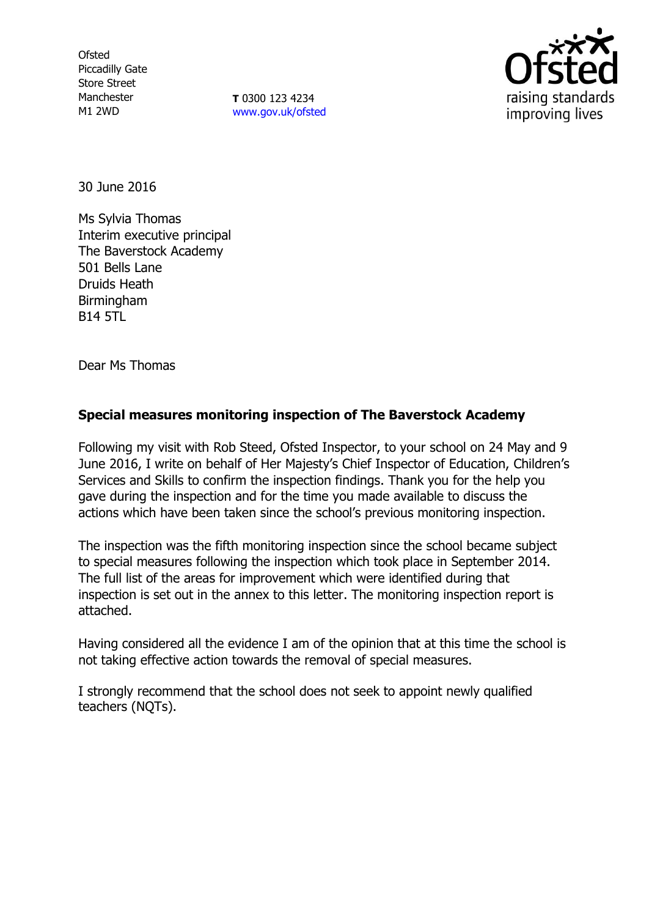**Ofsted** Piccadilly Gate Store Street Manchester M1 2WD

**T** 0300 123 4234 [www.gov.uk/ofsted](http://www.gov.uk/ofsted)



30 June 2016

Ms Sylvia Thomas Interim executive principal The Baverstock Academy 501 Bells Lane Druids Heath Birmingham B14 5TL

Dear Ms Thomas

# **Special measures monitoring inspection of The Baverstock Academy**

Following my visit with Rob Steed, Ofsted Inspector, to your school on 24 May and 9 June 2016, I write on behalf of Her Majesty's Chief Inspector of Education, Children's Services and Skills to confirm the inspection findings. Thank you for the help you gave during the inspection and for the time you made available to discuss the actions which have been taken since the school's previous monitoring inspection.

The inspection was the fifth monitoring inspection since the school became subject to special measures following the inspection which took place in September 2014. The full list of the areas for improvement which were identified during that inspection is set out in the annex to this letter. The monitoring inspection report is attached.

Having considered all the evidence I am of the opinion that at this time the school is not taking effective action towards the removal of special measures.

I strongly recommend that the school does not seek to appoint newly qualified teachers (NQTs).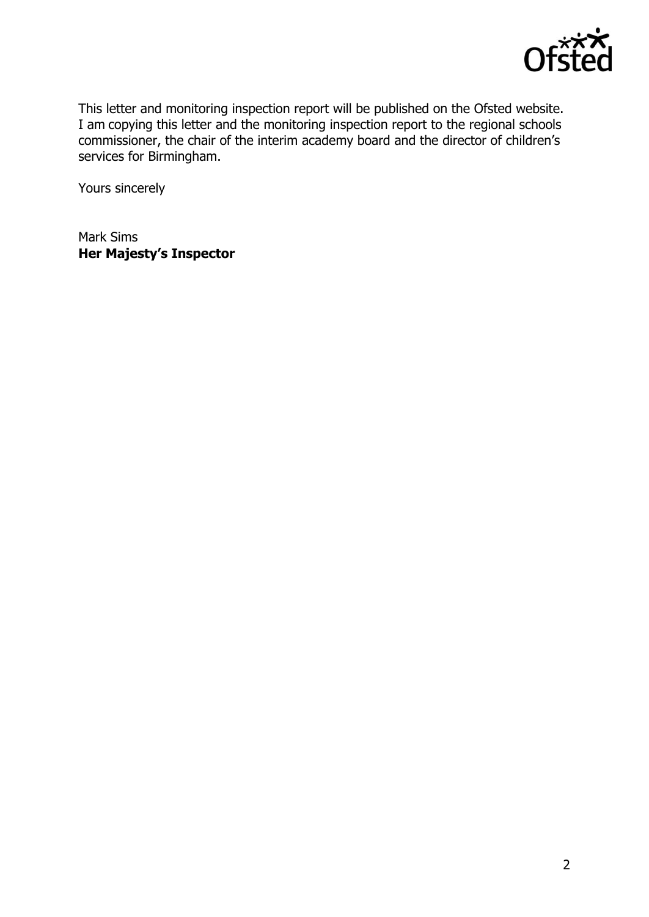

This letter and monitoring inspection report will be published on the Ofsted website. I am copying this letter and the monitoring inspection report to the regional schools commissioner, the chair of the interim academy board and the director of children's services for Birmingham.

Yours sincerely

Mark Sims **Her Majesty's Inspector**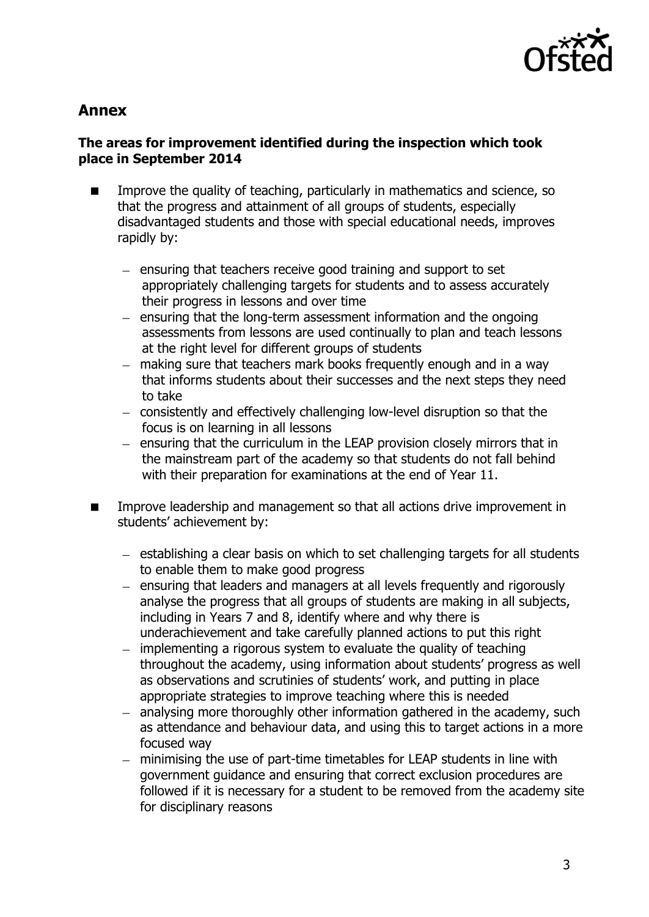

# **Annex**

# **The areas for improvement identified during the inspection which took place in September 2014**

- Improve the quality of teaching, particularly in mathematics and science, so that the progress and attainment of all groups of students, especially disadvantaged students and those with special educational needs, improves rapidly by:
	- $-$  ensuring that teachers receive good training and support to set appropriately challenging targets for students and to assess accurately their progress in lessons and over time
	- $-$  ensuring that the long-term assessment information and the ongoing assessments from lessons are used continually to plan and teach lessons at the right level for different groups of students
	- making sure that teachers mark books frequently enough and in a way that informs students about their successes and the next steps they need to take
	- consistently and effectively challenging low-level disruption so that the focus is on learning in all lessons
	- ensuring that the curriculum in the LEAP provision closely mirrors that in the mainstream part of the academy so that students do not fall behind with their preparation for examinations at the end of Year 11.
- Improve leadership and management so that all actions drive improvement in students' achievement by:
	- establishing a clear basis on which to set challenging targets for all students to enable them to make good progress
	- ensuring that leaders and managers at all levels frequently and rigorously analyse the progress that all groups of students are making in all subjects, including in Years 7 and 8, identify where and why there is underachievement and take carefully planned actions to put this right
	- $-$  implementing a rigorous system to evaluate the quality of teaching throughout the academy, using information about students' progress as well as observations and scrutinies of students' work, and putting in place appropriate strategies to improve teaching where this is needed
	- $-$  analysing more thoroughly other information gathered in the academy, such as attendance and behaviour data, and using this to target actions in a more focused way
	- minimising the use of part-time timetables for LEAP students in line with government guidance and ensuring that correct exclusion procedures are followed if it is necessary for a student to be removed from the academy site for disciplinary reasons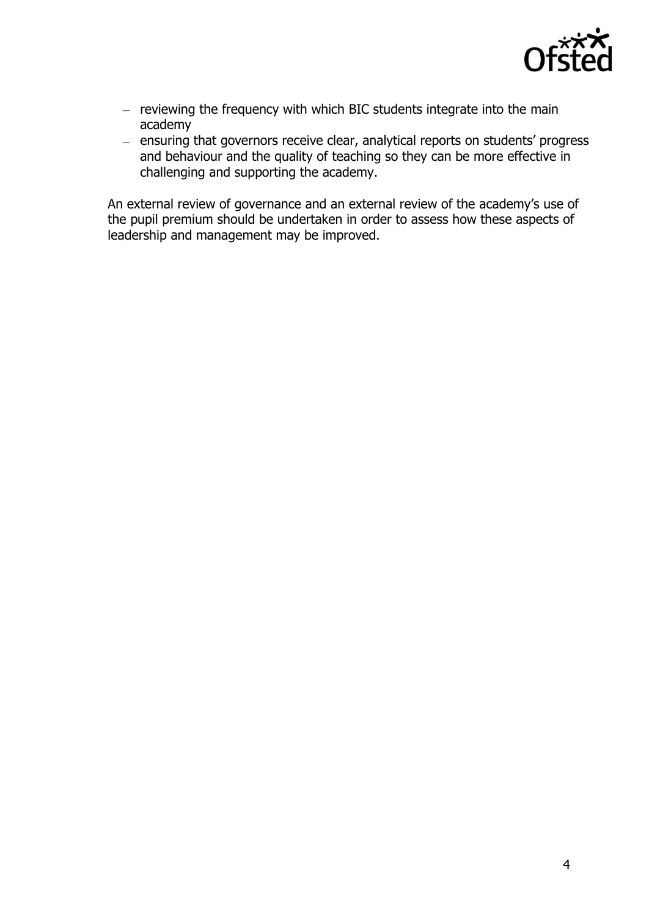

- $-$  reviewing the frequency with which BIC students integrate into the main academy
- $-$  ensuring that governors receive clear, analytical reports on students' progress and behaviour and the quality of teaching so they can be more effective in challenging and supporting the academy.

An external review of governance and an external review of the academy's use of the pupil premium should be undertaken in order to assess how these aspects of leadership and management may be improved.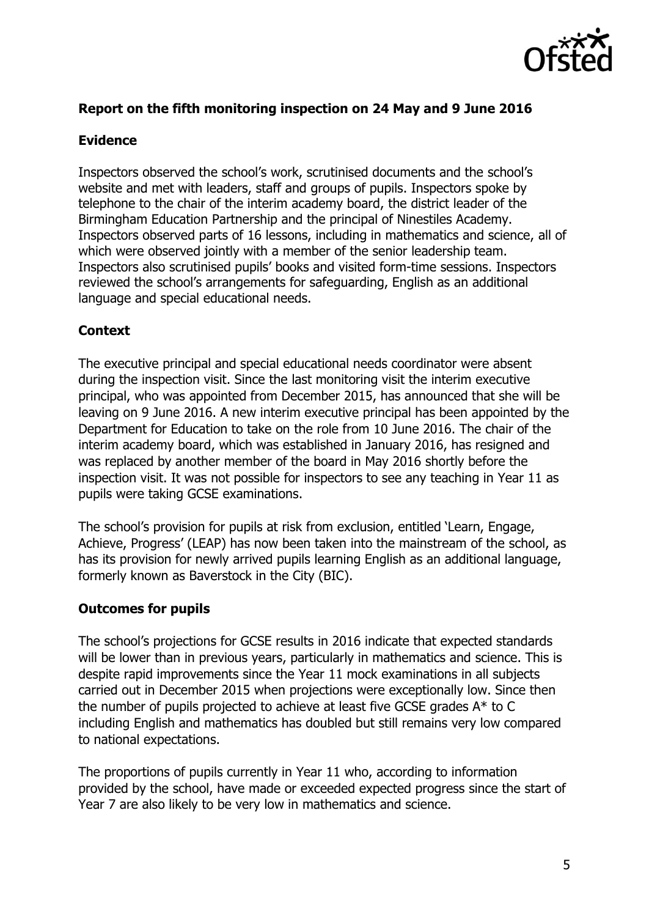

# **Report on the fifth monitoring inspection on 24 May and 9 June 2016**

### **Evidence**

Inspectors observed the school's work, scrutinised documents and the school's website and met with leaders, staff and groups of pupils. Inspectors spoke by telephone to the chair of the interim academy board, the district leader of the Birmingham Education Partnership and the principal of Ninestiles Academy. Inspectors observed parts of 16 lessons, including in mathematics and science, all of which were observed jointly with a member of the senior leadership team. Inspectors also scrutinised pupils' books and visited form-time sessions. Inspectors reviewed the school's arrangements for safeguarding, English as an additional language and special educational needs.

# **Context**

The executive principal and special educational needs coordinator were absent during the inspection visit. Since the last monitoring visit the interim executive principal, who was appointed from December 2015, has announced that she will be leaving on 9 June 2016. A new interim executive principal has been appointed by the Department for Education to take on the role from 10 June 2016. The chair of the interim academy board, which was established in January 2016, has resigned and was replaced by another member of the board in May 2016 shortly before the inspection visit. It was not possible for inspectors to see any teaching in Year 11 as pupils were taking GCSE examinations.

The school's provision for pupils at risk from exclusion, entitled 'Learn, Engage, Achieve, Progress' (LEAP) has now been taken into the mainstream of the school, as has its provision for newly arrived pupils learning English as an additional language, formerly known as Baverstock in the City (BIC).

# **Outcomes for pupils**

The school's projections for GCSE results in 2016 indicate that expected standards will be lower than in previous years, particularly in mathematics and science. This is despite rapid improvements since the Year 11 mock examinations in all subjects carried out in December 2015 when projections were exceptionally low. Since then the number of pupils projected to achieve at least five GCSE grades A\* to C including English and mathematics has doubled but still remains very low compared to national expectations.

The proportions of pupils currently in Year 11 who, according to information provided by the school, have made or exceeded expected progress since the start of Year 7 are also likely to be very low in mathematics and science.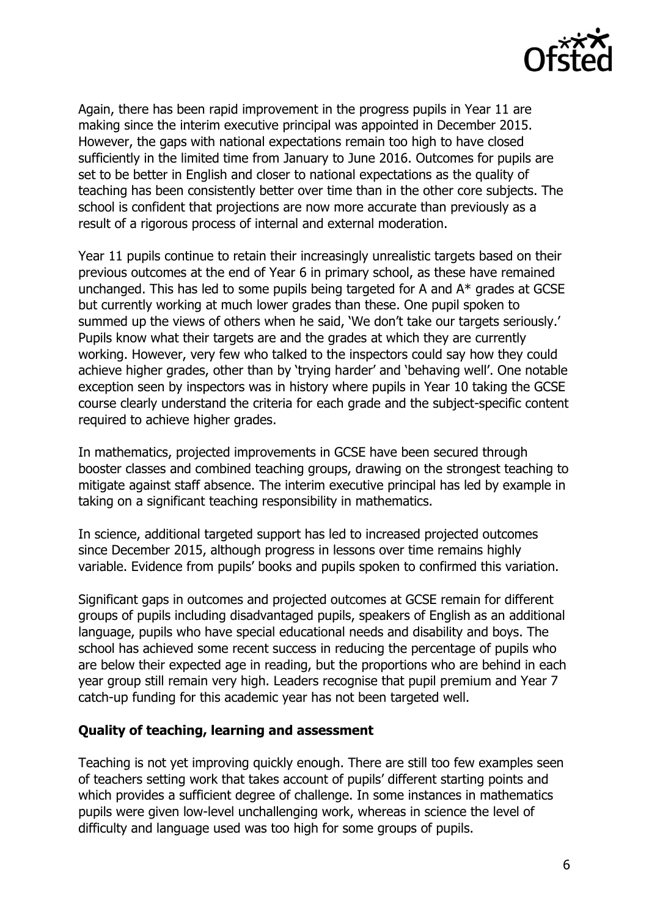

Again, there has been rapid improvement in the progress pupils in Year 11 are making since the interim executive principal was appointed in December 2015. However, the gaps with national expectations remain too high to have closed sufficiently in the limited time from January to June 2016. Outcomes for pupils are set to be better in English and closer to national expectations as the quality of teaching has been consistently better over time than in the other core subjects. The school is confident that projections are now more accurate than previously as a result of a rigorous process of internal and external moderation.

Year 11 pupils continue to retain their increasingly unrealistic targets based on their previous outcomes at the end of Year 6 in primary school, as these have remained unchanged. This has led to some pupils being targeted for A and A\* grades at GCSE but currently working at much lower grades than these. One pupil spoken to summed up the views of others when he said, 'We don't take our targets seriously.' Pupils know what their targets are and the grades at which they are currently working. However, very few who talked to the inspectors could say how they could achieve higher grades, other than by 'trying harder' and 'behaving well'. One notable exception seen by inspectors was in history where pupils in Year 10 taking the GCSE course clearly understand the criteria for each grade and the subject-specific content required to achieve higher grades.

In mathematics, projected improvements in GCSE have been secured through booster classes and combined teaching groups, drawing on the strongest teaching to mitigate against staff absence. The interim executive principal has led by example in taking on a significant teaching responsibility in mathematics.

In science, additional targeted support has led to increased projected outcomes since December 2015, although progress in lessons over time remains highly variable. Evidence from pupils' books and pupils spoken to confirmed this variation.

Significant gaps in outcomes and projected outcomes at GCSE remain for different groups of pupils including disadvantaged pupils, speakers of English as an additional language, pupils who have special educational needs and disability and boys. The school has achieved some recent success in reducing the percentage of pupils who are below their expected age in reading, but the proportions who are behind in each year group still remain very high. Leaders recognise that pupil premium and Year 7 catch-up funding for this academic year has not been targeted well.

### **Quality of teaching, learning and assessment**

Teaching is not yet improving quickly enough. There are still too few examples seen of teachers setting work that takes account of pupils' different starting points and which provides a sufficient degree of challenge. In some instances in mathematics pupils were given low-level unchallenging work, whereas in science the level of difficulty and language used was too high for some groups of pupils.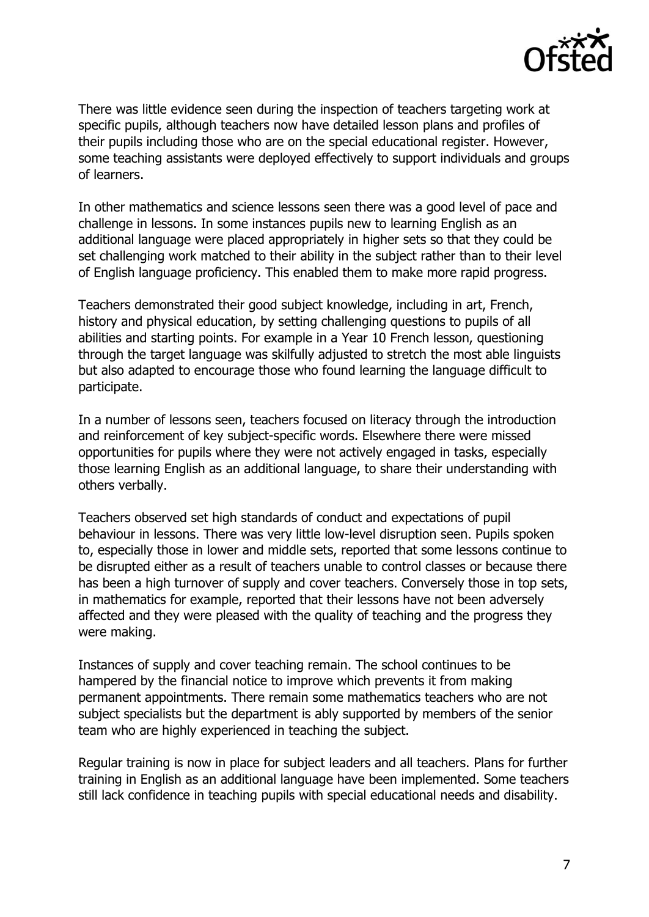

There was little evidence seen during the inspection of teachers targeting work at specific pupils, although teachers now have detailed lesson plans and profiles of their pupils including those who are on the special educational register. However, some teaching assistants were deployed effectively to support individuals and groups of learners.

In other mathematics and science lessons seen there was a good level of pace and challenge in lessons. In some instances pupils new to learning English as an additional language were placed appropriately in higher sets so that they could be set challenging work matched to their ability in the subject rather than to their level of English language proficiency. This enabled them to make more rapid progress.

Teachers demonstrated their good subject knowledge, including in art, French, history and physical education, by setting challenging questions to pupils of all abilities and starting points. For example in a Year 10 French lesson, questioning through the target language was skilfully adjusted to stretch the most able linguists but also adapted to encourage those who found learning the language difficult to participate.

In a number of lessons seen, teachers focused on literacy through the introduction and reinforcement of key subject-specific words. Elsewhere there were missed opportunities for pupils where they were not actively engaged in tasks, especially those learning English as an additional language, to share their understanding with others verbally.

Teachers observed set high standards of conduct and expectations of pupil behaviour in lessons. There was very little low-level disruption seen. Pupils spoken to, especially those in lower and middle sets, reported that some lessons continue to be disrupted either as a result of teachers unable to control classes or because there has been a high turnover of supply and cover teachers. Conversely those in top sets, in mathematics for example, reported that their lessons have not been adversely affected and they were pleased with the quality of teaching and the progress they were making.

Instances of supply and cover teaching remain. The school continues to be hampered by the financial notice to improve which prevents it from making permanent appointments. There remain some mathematics teachers who are not subject specialists but the department is ably supported by members of the senior team who are highly experienced in teaching the subject.

Regular training is now in place for subject leaders and all teachers. Plans for further training in English as an additional language have been implemented. Some teachers still lack confidence in teaching pupils with special educational needs and disability.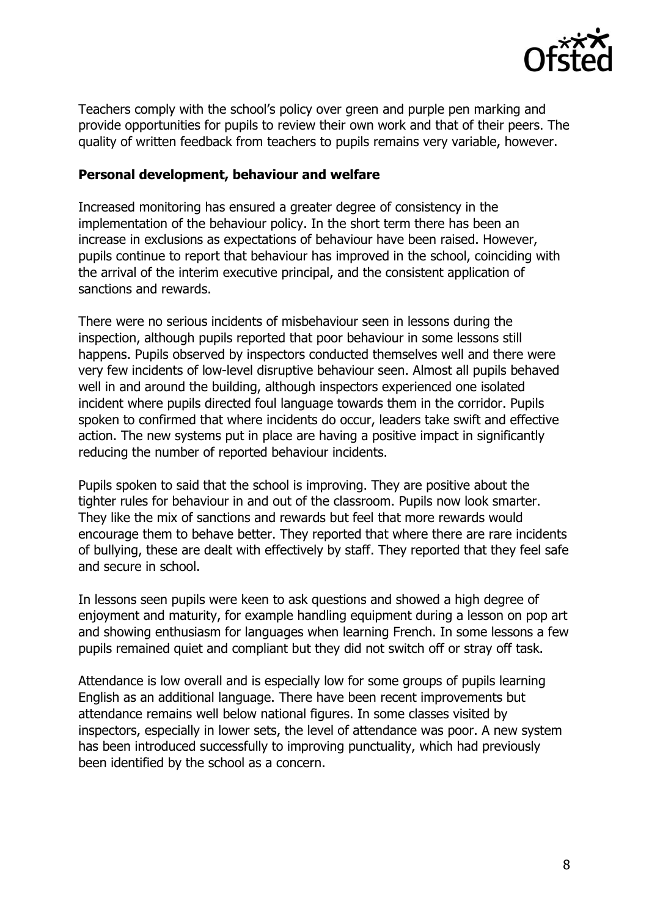

Teachers comply with the school's policy over green and purple pen marking and provide opportunities for pupils to review their own work and that of their peers. The quality of written feedback from teachers to pupils remains very variable, however.

### **Personal development, behaviour and welfare**

Increased monitoring has ensured a greater degree of consistency in the implementation of the behaviour policy. In the short term there has been an increase in exclusions as expectations of behaviour have been raised. However, pupils continue to report that behaviour has improved in the school, coinciding with the arrival of the interim executive principal, and the consistent application of sanctions and rewards.

There were no serious incidents of misbehaviour seen in lessons during the inspection, although pupils reported that poor behaviour in some lessons still happens. Pupils observed by inspectors conducted themselves well and there were very few incidents of low-level disruptive behaviour seen. Almost all pupils behaved well in and around the building, although inspectors experienced one isolated incident where pupils directed foul language towards them in the corridor. Pupils spoken to confirmed that where incidents do occur, leaders take swift and effective action. The new systems put in place are having a positive impact in significantly reducing the number of reported behaviour incidents.

Pupils spoken to said that the school is improving. They are positive about the tighter rules for behaviour in and out of the classroom. Pupils now look smarter. They like the mix of sanctions and rewards but feel that more rewards would encourage them to behave better. They reported that where there are rare incidents of bullying, these are dealt with effectively by staff. They reported that they feel safe and secure in school.

In lessons seen pupils were keen to ask questions and showed a high degree of enjoyment and maturity, for example handling equipment during a lesson on pop art and showing enthusiasm for languages when learning French. In some lessons a few pupils remained quiet and compliant but they did not switch off or stray off task.

Attendance is low overall and is especially low for some groups of pupils learning English as an additional language. There have been recent improvements but attendance remains well below national figures. In some classes visited by inspectors, especially in lower sets, the level of attendance was poor. A new system has been introduced successfully to improving punctuality, which had previously been identified by the school as a concern.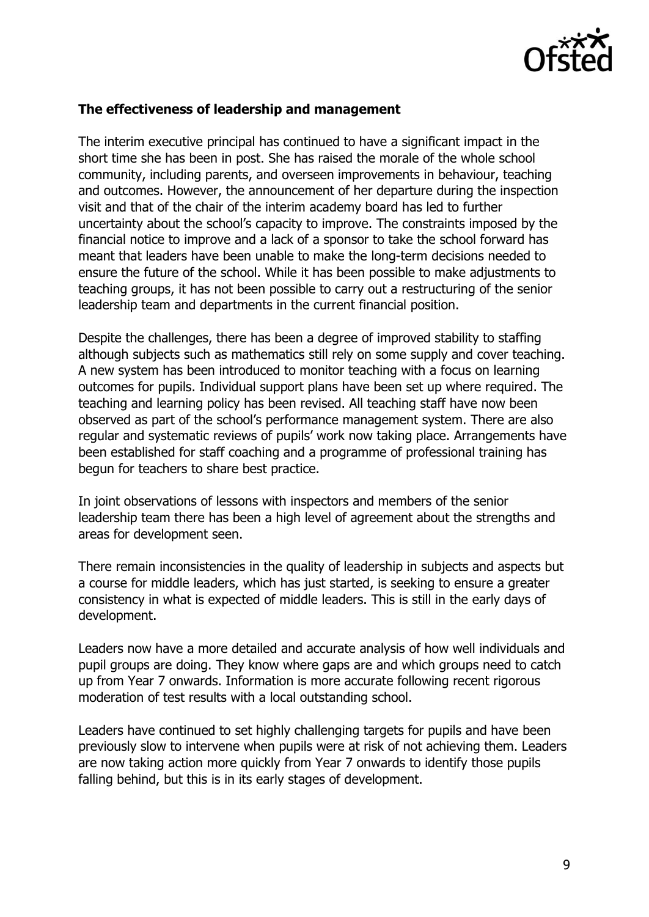

### **The effectiveness of leadership and management**

The interim executive principal has continued to have a significant impact in the short time she has been in post. She has raised the morale of the whole school community, including parents, and overseen improvements in behaviour, teaching and outcomes. However, the announcement of her departure during the inspection visit and that of the chair of the interim academy board has led to further uncertainty about the school's capacity to improve. The constraints imposed by the financial notice to improve and a lack of a sponsor to take the school forward has meant that leaders have been unable to make the long-term decisions needed to ensure the future of the school. While it has been possible to make adjustments to teaching groups, it has not been possible to carry out a restructuring of the senior leadership team and departments in the current financial position.

Despite the challenges, there has been a degree of improved stability to staffing although subjects such as mathematics still rely on some supply and cover teaching. A new system has been introduced to monitor teaching with a focus on learning outcomes for pupils. Individual support plans have been set up where required. The teaching and learning policy has been revised. All teaching staff have now been observed as part of the school's performance management system. There are also regular and systematic reviews of pupils' work now taking place. Arrangements have been established for staff coaching and a programme of professional training has begun for teachers to share best practice.

In joint observations of lessons with inspectors and members of the senior leadership team there has been a high level of agreement about the strengths and areas for development seen.

There remain inconsistencies in the quality of leadership in subjects and aspects but a course for middle leaders, which has just started, is seeking to ensure a greater consistency in what is expected of middle leaders. This is still in the early days of development.

Leaders now have a more detailed and accurate analysis of how well individuals and pupil groups are doing. They know where gaps are and which groups need to catch up from Year 7 onwards. Information is more accurate following recent rigorous moderation of test results with a local outstanding school.

Leaders have continued to set highly challenging targets for pupils and have been previously slow to intervene when pupils were at risk of not achieving them. Leaders are now taking action more quickly from Year 7 onwards to identify those pupils falling behind, but this is in its early stages of development.